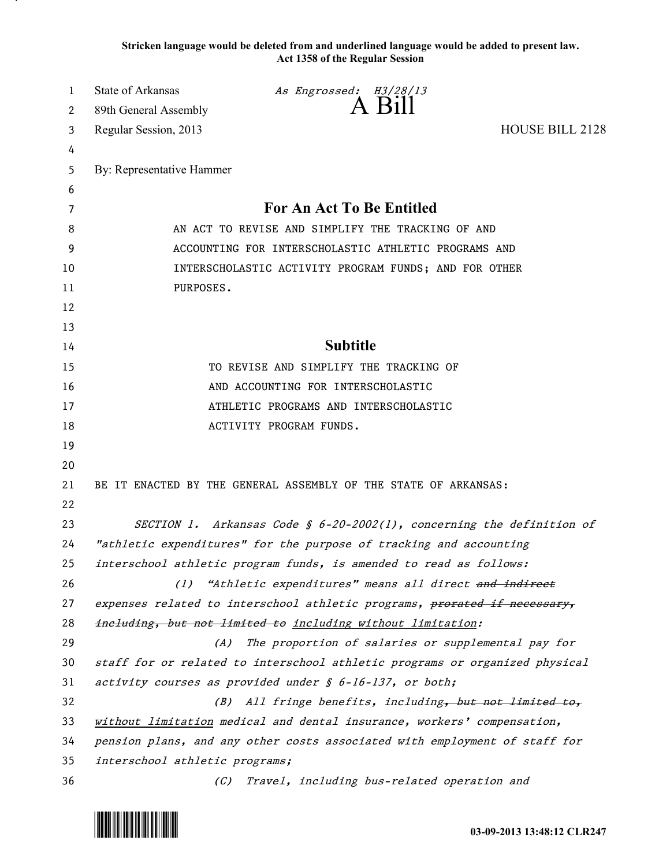**Stricken language would be deleted from and underlined language would be added to present law. Act 1358 of the Regular Session**

| 1  | <b>State of Arkansas</b>                             | As Engrossed: H3/28/13                                                      |                        |
|----|------------------------------------------------------|-----------------------------------------------------------------------------|------------------------|
| 2  | 89th General Assembly                                | A Bill                                                                      |                        |
| 3  | Regular Session, 2013                                |                                                                             | <b>HOUSE BILL 2128</b> |
| 4  |                                                      |                                                                             |                        |
| 5  | By: Representative Hammer                            |                                                                             |                        |
| 6  |                                                      |                                                                             |                        |
| 7  |                                                      | For An Act To Be Entitled                                                   |                        |
| 8  | AN ACT TO REVISE AND SIMPLIFY THE TRACKING OF AND    |                                                                             |                        |
| 9  | ACCOUNTING FOR INTERSCHOLASTIC ATHLETIC PROGRAMS AND |                                                                             |                        |
| 10 |                                                      | INTERSCHOLASTIC ACTIVITY PROGRAM FUNDS; AND FOR OTHER                       |                        |
| 11 | PURPOSES.                                            |                                                                             |                        |
| 12 |                                                      |                                                                             |                        |
| 13 |                                                      |                                                                             |                        |
| 14 |                                                      | <b>Subtitle</b>                                                             |                        |
| 15 |                                                      | TO REVISE AND SIMPLIFY THE TRACKING OF                                      |                        |
| 16 |                                                      | AND ACCOUNTING FOR INTERSCHOLASTIC                                          |                        |
| 17 |                                                      | ATHLETIC PROGRAMS AND INTERSCHOLASTIC                                       |                        |
| 18 |                                                      | ACTIVITY PROGRAM FUNDS.                                                     |                        |
| 19 |                                                      |                                                                             |                        |
| 20 |                                                      |                                                                             |                        |
| 21 |                                                      | BE IT ENACTED BY THE GENERAL ASSEMBLY OF THE STATE OF ARKANSAS:             |                        |
| 22 |                                                      |                                                                             |                        |
| 23 |                                                      | SECTION 1. Arkansas Code § $6-20-2002(1)$ , concerning the definition of    |                        |
| 24 |                                                      | "athletic expenditures" for the purpose of tracking and accounting          |                        |
| 25 |                                                      | interschool athletic program funds, is amended to read as follows:          |                        |
| 26 | (1)                                                  | "Athletic expenditures" means all direct and indirect                       |                        |
| 27 |                                                      | expenses related to interschool athletic programs, prorated if necessary,   |                        |
| 28 |                                                      | ineluding, but not limited to including without limitation:                 |                        |
| 29 | (A)                                                  | The proportion of salaries or supplemental pay for                          |                        |
| 30 |                                                      | staff for or related to interschool athletic programs or organized physical |                        |
| 31 |                                                      | activity courses as provided under $\oint$ 6-16-137, or both;               |                        |
| 32 | (B)                                                  | All fringe benefits, including, but not limited to,                         |                        |
| 33 |                                                      | without limitation medical and dental insurance, workers' compensation,     |                        |
| 34 |                                                      | pension plans, and any other costs associated with employment of staff for  |                        |
| 35 | interschool athletic programs;                       |                                                                             |                        |
| 36 | (C)                                                  | Travel, including bus-related operation and                                 |                        |

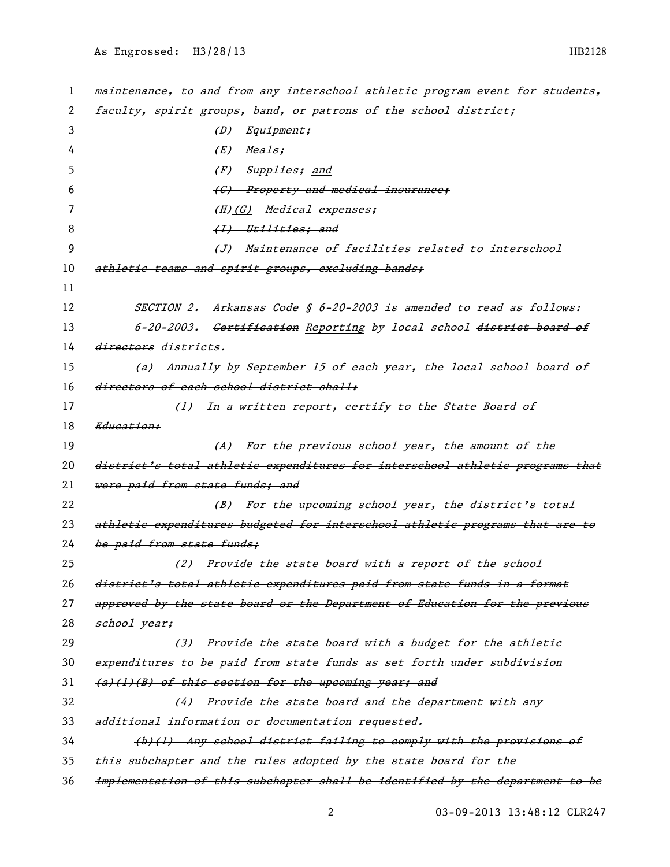1 maintenance, to and from any interschool athletic program event for students, 2 faculty, spirit groups, band, or patrons of the school district; 3 (D) Equipment; 4 (E) Meals; 5 (F) Supplies; and 6 (G) Property and medical insurance: 7 (H)(G) Medical expenses; 8 (I) Utilities; and 9 (J) Maintenance of facilities related to interschool 10 athletic teams and spirit groups, excluding bands; 11 12 SECTION 2. Arkansas Code § 6-20-2003 is amended to read as follows: 13 6-20-2003. Cortification Reporting by local school district board of 14 directors districts. 15 (a) Annually by September 15 of each year, the local school board of 16 directors of each school district shall: 17 (1) In a written report, certify to the State Board of 18 Education: 19 (A) For the previous school year, the amount of the 20 district's total athletic expenditures for interschool athletic programs that 21 were paid from state funds; and 22 (B) For the upcoming school year, the district's total 23 athletic expenditures budgeted for interschool athletic programs that are to 24 be paid from state funds: 25 (2) Provide the state board with a report of the school 26 district's total athletic expenditures paid from state funds in a format 27 approved by the state board or the Department of Education for the previous 28 school year: 29 (3) Provide the state board with a budget for the athletic 30 expenditures to be paid from state funds as set forth under subdivision  $31$  (a)(1)(B) of this section for the upcoming year; and 32 (4) Provide the state board and the department with any 33 additional information or documentation requested. 34 (b)(1) Any school district failing to comply with the provisions of 35 this subchapter and the rules adopted by the state board for the 36 implementation of this subchapter shall be identified by the department to be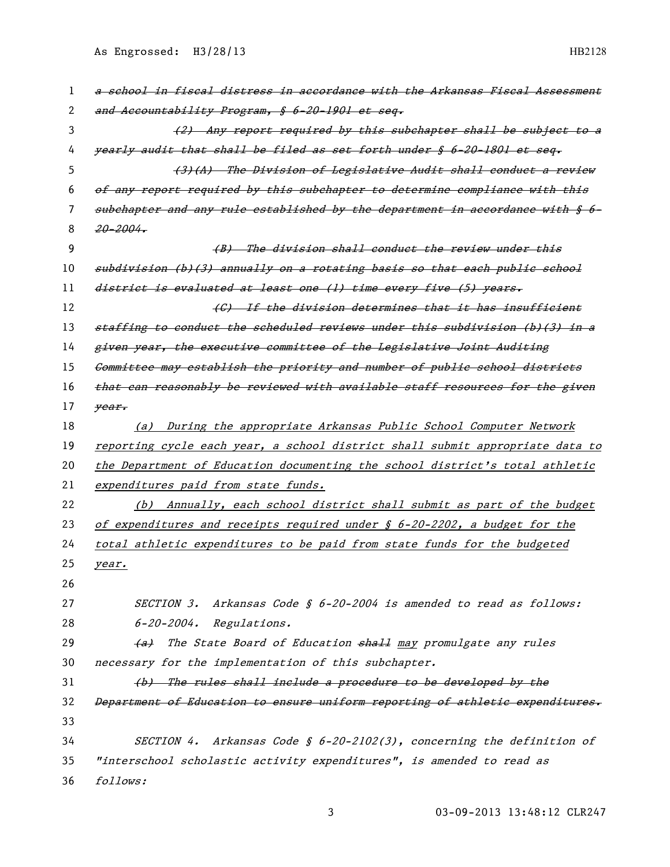As Engrossed: H3/28/13 HB2128

| 1  | a school in fiscal distress in accordance with the Arkansas Fiscal Assessment         |
|----|---------------------------------------------------------------------------------------|
| 2  | and Accountability Program, § 6-20-1901 et seq.                                       |
| 3  | (2) Any report required by this subchapter shall be subject to a                      |
| 4  | yearly audit that shall be filed as set forth under § 6-20-1801 et seg.               |
| 5  | (3)(A) The Division of Legislative Audit shall conduct a review                       |
| 6  | of any report required by this subehapter to determine compliance with this           |
| 7  | subchapter and any rule established by the department in accordance with § 6-         |
| 8  | $20 - 2004.$                                                                          |
| 9  | (B) The division shall conduct the review under this                                  |
| 10 | subdivision (b)(3) annually on a rotating basis so that each public school            |
| 11 | district is evaluated at least one (1) time every five (5) years.                     |
| 12 | (G) If the division determines that it has insufficient                               |
| 13 | staffing to conduct the scheduled reviews under this subdivision (b)(3) in a          |
| 14 | given year, the executive committee of the Legislative Joint Auditing                 |
| 15 | Committee may establish the priority and number of public school districts            |
| 16 | that can reasonably be reviewed with available staff resources for the given          |
| 17 | year.                                                                                 |
| 18 | (a) During the appropriate Arkansas Public School Computer Network                    |
| 19 | reporting cycle each year, a school district shall submit appropriate data to         |
| 20 | the Department of Education documenting the school district's total athletic          |
| 21 | expenditures paid from state funds.                                                   |
| 22 | (b) Annually, each school district shall submit as part of the budget                 |
| 23 | of expenditures and receipts required under $\frac{1}{2}$ 6-20-2202, a budget for the |
| 24 | total athletic expenditures to be paid from state funds for the budgeted              |
| 25 | year.                                                                                 |
| 26 |                                                                                       |
| 27 | SECTION 3. Arkansas Code § 6-20-2004 is amended to read as follows:                   |
| 28 | $6 - 20 - 2004$ . Regulations.                                                        |
| 29 | The State Board of Education $\frac{1}{2}$ may promulgate any rules<br><del>(a)</del> |
| 30 | necessary for the implementation of this subchapter.                                  |
| 31 | (b) The rules shall include a procedure to be developed by the                        |
| 32 | Department of Education to ensure uniform reporting of athletic expenditures.         |
| 33 |                                                                                       |
| 34 | SECTION 4. Arkansas Code § $6-20-2102(3)$ , concerning the definition of              |
| 35 | "interschool scholastic activity expenditures", is amended to read as                 |
| 36 | follows:                                                                              |

03-09-2013 13:48:12 CLR247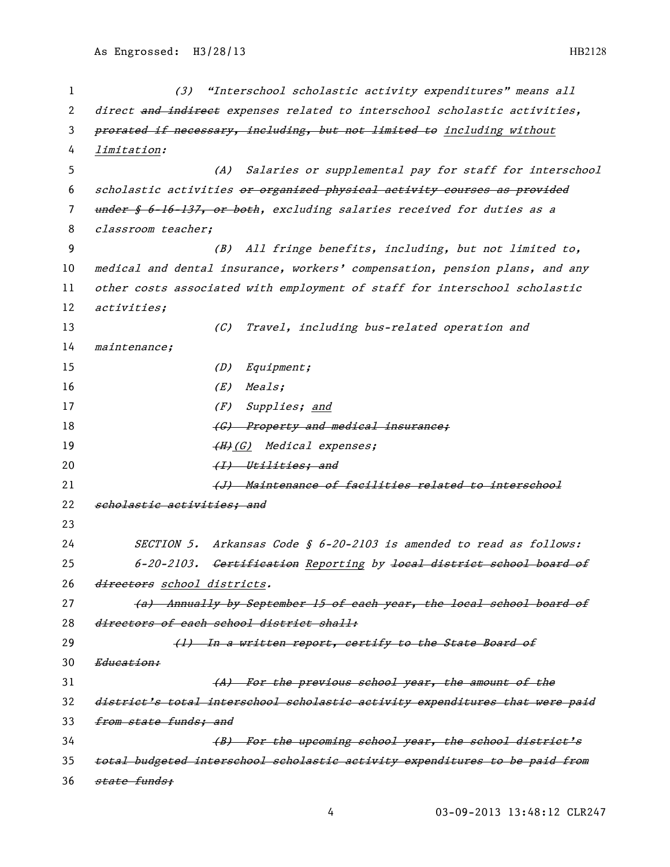1 (3) "Interschool scholastic activity expenditures" means all 2 direct and indirect expenses related to interschool scholastic activities, 3 prorated if necessary, including, but not limited to including without 4 limitation: 5 (A) Salaries or supplemental pay for staff for interschool 6 scholastic activities or organized physical activity courses as provided 7 under § 6-16-137, or both, excluding salaries received for duties as a 8 classroom teacher; 9 (B) All fringe benefits, including, but not limited to, 10 medical and dental insurance, workers' compensation, pension plans, and any 11 other costs associated with employment of staff for interschool scholastic 12 activities; 13 (C) Travel, including bus-related operation and 14 maintenance; 15 (D) Equipment; 16 (E) Meals; 17 (F) Supplies; and 18 **(G)** Property and medical insurance; 19  $(H)(G)$  Medical expenses; 20 (I) Utilities; and 21 (J) Maintenance of facilities related to interschool 22 scholastic activities; and 23 24 SECTION 5. Arkansas Code § 6-20-2103 is amended to read as follows: 25 6-20-2103. Certification Reporting by local district school board of 26 directors school districts. 27 (a) Annually by September 15 of each year, the local school board of 28 directors of each school district shall: 29 (1) In a written report, certify to the State Board of 30 Education: 31 (A) For the previous school year, the amount of the 32 district's total interschool scholastic activity expenditures that were paid 33 from state funds; and 34 (B) For the upcoming school year, the school district's 35 total budgeted interschool scholastic activity expenditures to be paid from 36 <del>state funds:</del>